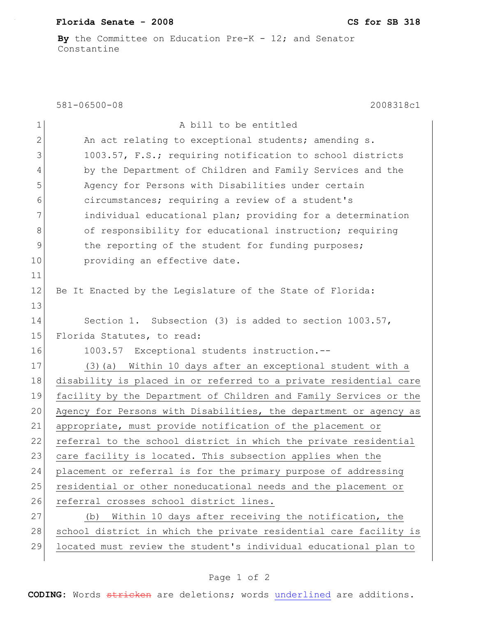## **Florida Senate - 2008 CS for SB 318**

**By** the Committee on Education Pre-K - 12; and Senator Constantine

581-06500-08 2008318c1

| $\mathbf 1$  | A bill to be entitled                                             |
|--------------|-------------------------------------------------------------------|
| $\mathbf{2}$ | An act relating to exceptional students; amending s.              |
| 3            | 1003.57, F.S.; requiring notification to school districts         |
| 4            | by the Department of Children and Family Services and the         |
| 5            | Agency for Persons with Disabilities under certain                |
| 6            | circumstances; requiring a review of a student's                  |
| 7            | individual educational plan; providing for a determination        |
| 8            | of responsibility for educational instruction; requiring          |
| 9            | the reporting of the student for funding purposes;                |
| 10           | providing an effective date.                                      |
| 11           |                                                                   |
| 12           | Be It Enacted by the Legislature of the State of Florida:         |
| 13           |                                                                   |
| 14           | Section 1. Subsection (3) is added to section 1003.57,            |
| 15           | Florida Statutes, to read:                                        |
| 16           | 1003.57 Exceptional students instruction.--                       |
| 17           | (3) (a) Within 10 days after an exceptional student with a        |
| 18           | disability is placed in or referred to a private residential care |
| 19           | facility by the Department of Children and Family Services or the |
| 20           | Agency for Persons with Disabilities, the department or agency as |
| 21           | appropriate, must provide notification of the placement or        |
| 22           | referral to the school district in which the private residential  |
| 23           | care facility is located. This subsection applies when the        |
| 24           | placement or referral is for the primary purpose of addressing    |
| 25           | residential or other noneducational needs and the placement or    |
| 26           | referral crosses school district lines.                           |
| 27           | Within 10 days after receiving the notification, the<br>(b)       |
| 28           | school district in which the private residential care facility is |
| 29           | located must review the student's individual educational plan to  |

## Page 1 of 2

**CODING:** Words stricken are deletions; words underlined are additions.